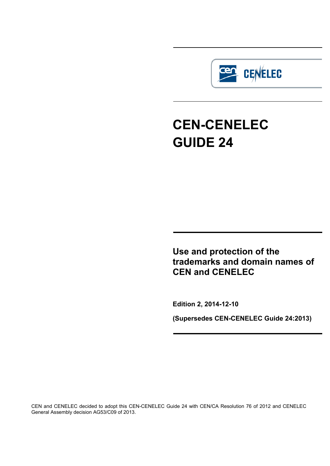

# **CEN-CENELEC GUIDE 24**

**Use and protection of the trademarks and domain names of CEN and CENELEC** 

**Edition 2, 2014-12-10**

**(Supersedes CEN-CENELEC Guide 24:2013)**

CEN and CENELEC decided to adopt this CEN-CENELEC Guide 24 with CEN/CA Resolution 76 of 2012 and CENELEC General Assembly decision AG53/C09 of 2013.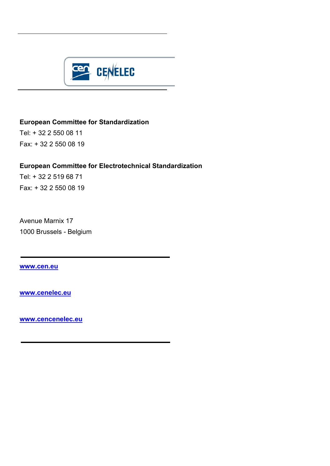

# **European Committee for Standardization**

Tel: + 32 2 550 08 11 Fax: + 32 2 550 08 19

# **European Committee for Electrotechnical Standardization**

Tel: + 32 2 519 68 71 Fax: + 32 2 550 08 19

Avenue Marnix 17 1000 Brussels - Belgium

**[www.cen.eu](http://www.cen.eu/)**

**[www.cenelec.eu](http://www.cenelec.eu/)**

**[www.cencenelec.eu](http://www.cencenelec.eu/)**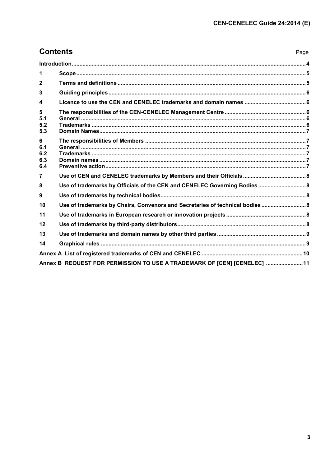| <b>Contents</b><br>Page       |                                                                              |  |  |  |  |
|-------------------------------|------------------------------------------------------------------------------|--|--|--|--|
|                               |                                                                              |  |  |  |  |
| $\blacktriangleleft$          |                                                                              |  |  |  |  |
| $\mathbf{2}$                  |                                                                              |  |  |  |  |
| $\overline{3}$                |                                                                              |  |  |  |  |
| $\overline{\mathbf{4}}$       |                                                                              |  |  |  |  |
| 5<br>5.1<br>5.2<br>5.3        |                                                                              |  |  |  |  |
| 6<br>6.1<br>6.2<br>6.3<br>6.4 |                                                                              |  |  |  |  |
| $\overline{7}$                |                                                                              |  |  |  |  |
| 8                             | Use of trademarks by Officials of the CEN and CENELEC Governing Bodies  8    |  |  |  |  |
| 9                             |                                                                              |  |  |  |  |
| 10                            | Use of trademarks by Chairs, Convenors and Secretaries of technical bodies 8 |  |  |  |  |
| 11                            |                                                                              |  |  |  |  |
| 12                            |                                                                              |  |  |  |  |
| 13                            |                                                                              |  |  |  |  |
| 14                            |                                                                              |  |  |  |  |
|                               |                                                                              |  |  |  |  |
|                               | Annex B REQUEST FOR PERMISSION TO USE A TRADEMARK OF [CEN] [CENELEC]  11     |  |  |  |  |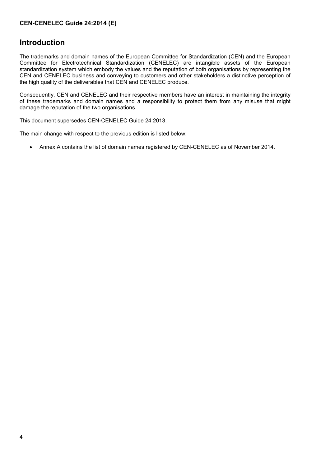#### **CEN-CENELEC Guide 24:2014 (E)**

# <span id="page-3-0"></span>**Introduction**

The trademarks and domain names of the European Committee for Standardization (CEN) and the European Committee for Electrotechnical Standardization (CENELEC) are intangible assets of the European standardization system which embody the values and the reputation of both organisations by representing the CEN and CENELEC business and conveying to customers and other stakeholders a distinctive perception of the high quality of the deliverables that CEN and CENELEC produce.

Consequently, CEN and CENELEC and their respective members have an interest in maintaining the integrity of these trademarks and domain names and a responsibility to protect them from any misuse that might damage the reputation of the two organisations.

This document supersedes CEN-CENELEC Guide 24:2013.

The main change with respect to the previous edition is listed below:

• Annex A contains the list of domain names registered by CEN-CENELEC as of November 2014.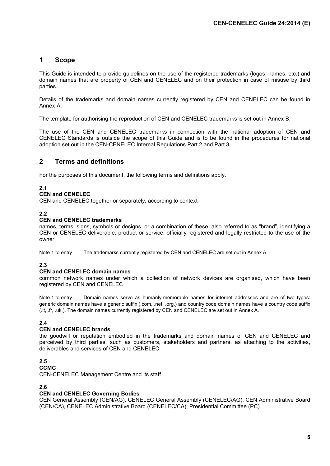# <span id="page-4-0"></span>**1 Scope**

This Guide is intended to provide guidelines on the use of the registered trademarks (logos, names, etc.) and domain names that are property of CEN and CENELEC and on their protection in case of misuse by third parties.

Details of the trademarks and domain names currently registered by CEN and CENELEC can be found in Annex A.

The template for authorising the reproduction of CEN and CENELEC trademarks is set out in Annex B.

The use of the CEN and CENELEC trademarks in connection with the national adoption of CEN and CENELEC Standards is outside the scope of this Guide and is to be found in the procedures for national adoption set out in the CEN-CENELEC Internal Regulations Part 2 and Part 3.

#### <span id="page-4-1"></span>**2 Terms and definitions**

For the purposes of this document, the following terms and definitions apply.

#### **2.1**

#### **CEN and CENELEC**

CEN and CENELEC together or separately, according to context

#### **2.2**

#### **CEN and CENELEC trademarks**

names, terms, signs, symbols or designs, or a combination of these, also referred to as "brand", identifying a CEN or CENELEC deliverable, product or service, officially registered and legally restricted to the use of the owner

Note 1 to entry The trademarks currently registered by CEN and CENELEC are set out in Annex A.

#### **2.3**

#### **CEN and CENELEC domain names**

common network names under which a collection of network devices are organised, which have been registered by CEN and CENELEC

Note 1 to entry Domain names serve as humanly-memorable names for internet addresses and are of two types: generic domain names have a generic suffix (.com, .net, .org,) and country code domain names have a country code suffix (.it, .fr, .uk,). The domain names currently registered by CEN and CENELEC are set out in Annex A.

#### **2.4**

#### **CEN and CENELEC brands**

the goodwill or reputation embodied in the trademarks and domain names of CEN and CENELEC and perceived by third parties, such as customers, stakeholders and partners, as attaching to the activities, deliverables and services of CEN and CENELEC

#### **2.5**

**CCMC**

CEN-CENELEC Management Centre and its staff

#### **2.6**

#### **CEN and CENELEC Governing Bodies**

CEN General Assembly (CEN/AG), CENELEC General Assembly (CENELEC/AG), CEN Administrative Board (CEN/CA), CENELEC Administrative Board (CENELEC/CA), Presidential Committee (PC)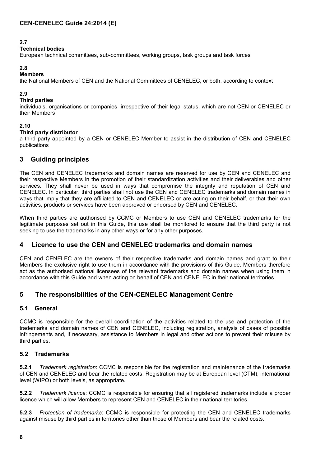#### **2.7**

#### **Technical bodies**

European technical committees, sub-committees, working groups, task groups and task forces

# **2.8**

#### **Members**

the National Members of CEN and the National Committees of CENELEC, or both, according to context

#### **2.9**

#### **Third parties**

individuals, organisations or companies, irrespective of their legal status, which are not CEN or CENELEC or their Members

#### **2.10**

#### **Third party distributor**

a third party appointed by a CEN or CENELEC Member to assist in the distribution of CEN and CENELEC publications

# <span id="page-5-0"></span>**3 Guiding principles**

The CEN and CENELEC trademarks and domain names are reserved for use by CEN and CENELEC and their respective Members in the promotion of their standardization activities and their deliverables and other services. They shall never be used in ways that compromise the integrity and reputation of CEN and CENELEC. In particular, third parties shall not use the CEN and CENELEC trademarks and domain names in ways that imply that they are affiliated to CEN and CENELEC or are acting on their behalf, or that their own activities, products or services have been approved or endorsed by CEN and CENELEC.

When third parties are authorised by CCMC or Members to use CEN and CENELEC trademarks for the legitimate purposes set out in this Guide, this use shall be monitored to ensure that the third party is not seeking to use the trademarks in any other ways or for any other purposes.

# <span id="page-5-1"></span>**4 Licence to use the CEN and CENELEC trademarks and domain names**

CEN and CENELEC are the owners of their respective trademarks and domain names and grant to their Members the exclusive right to use them in accordance with the provisions of this Guide. Members therefore act as the authorised national licensees of the relevant trademarks and domain names when using them in accordance with this Guide and when acting on behalf of CEN and CENELEC in their national territories.

# <span id="page-5-2"></span>**5 The responsibilities of the CEN-CENELEC Management Centre**

#### <span id="page-5-3"></span>**5.1 General**

CCMC is responsible for the overall coordination of the activities related to the use and protection of the trademarks and domain names of CEN and CENELEC, including registration, analysis of cases of possible infringements and, if necessary, assistance to Members in legal and other actions to prevent their misuse by third parties.

#### <span id="page-5-4"></span>**5.2 Trademarks**

**5.2.1** *Trademark registration*: CCMC is responsible for the registration and maintenance of the trademarks of CEN and CENELEC and bear the related costs. Registration may be at European level (CTM), international level (WIPO) or both levels, as appropriate.

**5.2.2** *Trademark licence*: CCMC is responsible for ensuring that all registered trademarks include a proper licence which will allow Members to represent CEN and CENELEC in their national territories.

**5.2.3** *Protection of trademarks*: CCMC is responsible for protecting the CEN and CENELEC trademarks against misuse by third parties in territories other than those of Members and bear the related costs.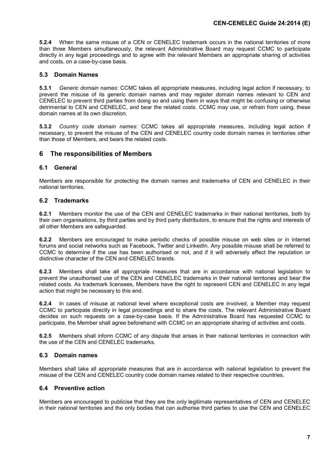**5.2.4** When the same misuse of a CEN or CENELEC trademark occurs in the national territories of more than three Members simultaneously, the relevant Administrative Board may request CCMC to participate directly in any legal proceedings and to agree with the relevant Members an appropriate sharing of activities and costs, on a case-by-case basis.

#### <span id="page-6-0"></span>**5.3 Domain Names**

**5.3.1** *Generic domain names:* CCMC takes all appropriate measures, including legal action if necessary, to prevent the misuse of its generic domain names and may register domain names relevant to CEN and CENELEC to prevent third parties from doing so and using them in ways that might be confusing or otherwise detrimental to CEN and CENELEC, and bear the related costs. CCMC may use, or refrain from using, these domain names at its own discretion.

**5.3.2** *Country code domain names:* CCMC takes all appropriate measures, including legal action if necessary, to prevent the misuse of the CEN and CENELEC country code domain names in territories other than those of Members, and bears the related costs.

#### <span id="page-6-1"></span>**6 The responsibilities of Members**

#### <span id="page-6-2"></span>**6.1 General**

Members are responsible for protecting the domain names and trademarks of CEN and CENELEC in their national territories.

#### <span id="page-6-3"></span>**6.2 Trademarks**

**6.2.1** Members monitor the use of the CEN and CENELEC trademarks in their national territories, both by their own organisations, by third parties and by third party distributors, to ensure that the rights and interests of all other Members are safeguarded.

**6.2.2** Members are encouraged to make periodic checks of possible misuse on web sites or in internet forums and social networks such as Facebook, Twitter and LinkedIn. Any possible misuse shall be referred to CCMC to determine if the use has been authorised or not, and if it will adversely affect the reputation or distinctive character of the CEN and CENELEC brands.

**6.2.3** Members shall take all appropriate measures that are in accordance with national legislation to prevent the unauthorised use of the CEN and CENELEC trademarks in their national territories and bear the related costs. As trademark licensees, Members have the right to represent CEN and CENELEC in any legal action that might be necessary to this end.

**6.2.4** In cases of misuse at national level where exceptional costs are involved, a Member may request CCMC to participate directly in legal proceedings and to share the costs. The relevant Administrative Board decides on such requests on a case-by-case basis. If the Administrative Board has requested CCMC to participate, the Member shall agree beforehand with CCMC on an appropriate sharing of activities and costs.

**6.2.5** Members shall inform CCMC of any dispute that arises in their national territories in connection with the use of the CEN and CENELEC trademarks.

#### <span id="page-6-4"></span>**6.3 Domain names**

Members shall take all appropriate measures that are in accordance with national legislation to prevent the misuse of the CEN and CENELEC country code domain names related to their respective countries.

#### <span id="page-6-5"></span>**6.4 Preventive action**

Members are encouraged to publicise that they are the only legitimate representatives of CEN and CENELEC in their national territories and the only bodies that can authorise third parties to use the CEN and CENELEC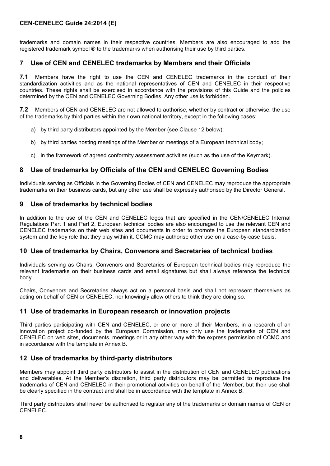#### **CEN-CENELEC Guide 24:2014 (E)**

trademarks and domain names in their respective countries. Members are also encouraged to add the registered trademark symbol ® to the trademarks when authorising their use by third parties.

### <span id="page-7-0"></span>**7 Use of CEN and CENELEC trademarks by Members and their Officials**

**7.1** Members have the right to use the CEN and CENELEC trademarks in the conduct of their standardization activities and as the national representatives of CEN and CENELEC in their respective countries. These rights shall be exercised in accordance with the provisions of this Guide and the policies determined by the CEN and CENELEC Governing Bodies. Any other use is forbidden.

**7.2** Members of CEN and CENELEC are not allowed to authorise, whether by contract or otherwise, the use of the trademarks by third parties within their own national territory, except in the following cases:

- a) by third party distributors appointed by the Member (see Clause 12 below);
- b) by third parties hosting meetings of the Member or meetings of a European technical body;
- c) in the framework of agreed conformity assessment activities (such as the use of the Keymark).

# <span id="page-7-1"></span>**8 Use of trademarks by Officials of the CEN and CENELEC Governing Bodies**

Individuals serving as Officials in the Governing Bodies of CEN and CENELEC may reproduce the appropriate trademarks on their business cards, but any other use shall be expressly authorised by the Director General.

#### <span id="page-7-2"></span>**9 Use of trademarks by technical bodies**

In addition to the use of the CEN and CENELEC logos that are specified in the CEN/CENELEC Internal Regulations Part 1 and Part 2, European technical bodies are also encouraged to use the relevant CEN and CENELEC trademarks on their web sites and documents in order to promote the European standardization system and the key role that they play within it. CCMC may authorise other use on a case-by-case basis.

#### <span id="page-7-3"></span>**10 Use of trademarks by Chairs, Convenors and Secretaries of technical bodies**

Individuals serving as Chairs, Convenors and Secretaries of European technical bodies may reproduce the relevant trademarks on their business cards and email signatures but shall always reference the technical body.

Chairs, Convenors and Secretaries always act on a personal basis and shall not represent themselves as acting on behalf of CEN or CENELEC, nor knowingly allow others to think they are doing so.

#### <span id="page-7-4"></span>**11 Use of trademarks in European research or innovation projects**

Third parties participating with CEN and CENELEC, or one or more of their Members, in a research of an innovation project co-funded by the European Commission, may only use the trademarks of CEN and CENELEC on web sites, documents, meetings or in any other way with the express permission of CCMC and in accordance with the template in Annex B.

#### <span id="page-7-5"></span>**12 Use of trademarks by third-party distributors**

Members may appoint third party distributors to assist in the distribution of CEN and CENELEC publications and deliverables. At the Member's discretion, third party distributors may be permitted to reproduce the trademarks of CEN and CENELEC in their promotional activities on behalf of the Member, but their use shall be clearly specified in the contract and shall be in accordance with the template in Annex B.

Third party distributors shall never be authorised to register any of the trademarks or domain names of CEN or CENELEC.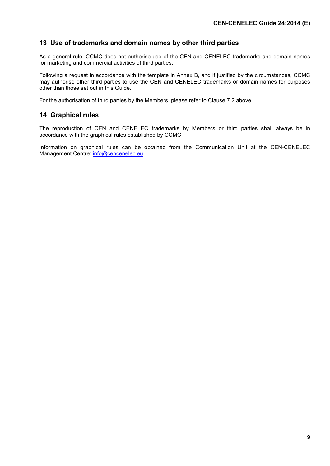# <span id="page-8-0"></span>**13 Use of trademarks and domain names by other third parties**

As a general rule, CCMC does not authorise use of the CEN and CENELEC trademarks and domain names for marketing and commercial activities of third parties.

Following a request in accordance with the template in Annex B, and if justified by the circumstances, CCMC may authorise other third parties to use the CEN and CENELEC trademarks or domain names for purposes other than those set out in this Guide.

For the authorisation of third parties by the Members, please refer to Clause 7.2 above.

#### <span id="page-8-1"></span>**14 Graphical rules**

The reproduction of CEN and CENELEC trademarks by Members or third parties shall always be in accordance with the graphical rules established by CCMC.

Information on graphical rules can be obtained from the Communication Unit at the CEN-CENELEC Management Centre: [info@cencenelec.eu.](mailto:info@cencenelec.eu.)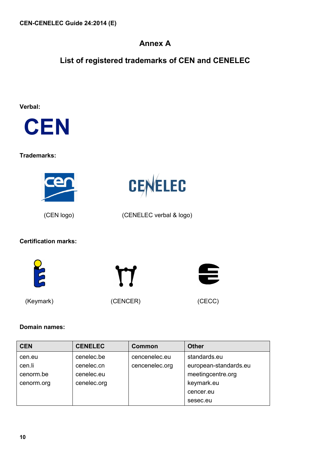# **Annex A**

# <span id="page-9-0"></span>**List of registered trademarks of CEN and CENELEC**

CENELEC

# **Verbal:**



# **Trademarks:**



(CEN logo) (CENELEC verbal & logo)

# **Certification marks:**



(Keymark) (CENCER) (CENCER) (CECC)



# **Domain names:**

| <b>CEN</b> | <b>CENELEC</b> | Common         | <b>Other</b>          |
|------------|----------------|----------------|-----------------------|
| cen.eu     | cenelec.be     | cencenelec.eu  | standards.eu          |
| cen.li     | cenelec.cn     | cencenelec.org | european-standards.eu |
| cenorm.be  | cenelec.eu     |                | meetingcentre.org     |
| cenorm.org | cenelec.org    |                | keymark.eu            |
|            |                |                | cencer.eu             |
|            |                |                | sesec.eu              |